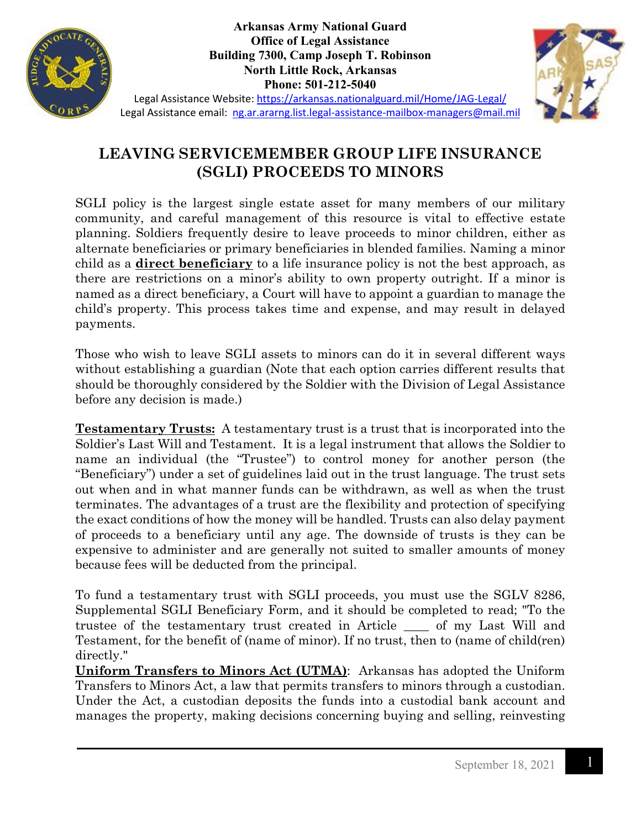

**Arkansas Army National Guard Office of Legal Assistance Building 7300, Camp Joseph T. Robinson North Little Rock, Arkansas Phone: 501-212-5040**



Legal Assistance Website:<https://arkansas.nationalguard.mil/Home/JAG-Legal/> Legal Assistance email: [ng.ar.ararng.list.legal-assistance-mailbox-managers@mail.mil](mailto:ng.ar.ararng.list.legal-assistance-mailbox-managers@mail.mil)

## **LEAVING SERVICEMEMBER GROUP LIFE INSURANCE (SGLI) PROCEEDS TO MINORS**

SGLI policy is the largest single estate asset for many members of our military community, and careful management of this resource is vital to effective estate planning. Soldiers frequently desire to leave proceeds to minor children, either as alternate beneficiaries or primary beneficiaries in blended families. Naming a minor child as a **direct beneficiary** to a life insurance policy is not the best approach, as there are restrictions on a minor's ability to own property outright. If a minor is named as a direct beneficiary, a Court will have to appoint a guardian to manage the child's property. This process takes time and expense, and may result in delayed payments.

Those who wish to leave SGLI assets to minors can do it in several different ways without establishing a guardian (Note that each option carries different results that should be thoroughly considered by the Soldier with the Division of Legal Assistance before any decision is made.)

**Testamentary Trusts:** A testamentary trust is a trust that is incorporated into the Soldier's Last Will and Testament. It is a legal instrument that allows the Soldier to name an individual (the "Trustee") to control money for another person (the "Beneficiary") under a set of guidelines laid out in the trust language. The trust sets out when and in what manner funds can be withdrawn, as well as when the trust terminates. The advantages of a trust are the flexibility and protection of specifying the exact conditions of how the money will be handled. Trusts can also delay payment of proceeds to a beneficiary until any age. The downside of trusts is they can be expensive to administer and are generally not suited to smaller amounts of money because fees will be deducted from the principal.

To fund a testamentary trust with SGLI proceeds, you must use the SGLV 8286, Supplemental SGLI Beneficiary Form, and it should be completed to read; "To the trustee of the testamentary trust created in Article \_\_\_\_ of my Last Will and Testament, for the benefit of (name of minor). If no trust, then to (name of child(ren) directly."

**Uniform Transfers to Minors Act (UTMA)**: Arkansas has adopted the Uniform Transfers to Minors Act, a law that permits transfers to minors through a custodian. Under the Act, a custodian deposits the funds into a custodial bank account and manages the property, making decisions concerning buying and selling, reinvesting